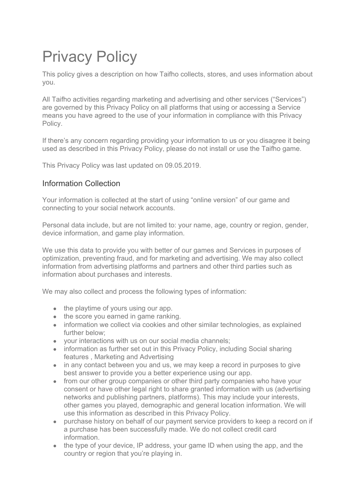# Privacy Policy

This policy gives a description on how Taifho collects, stores, and uses information about you.

All Taifho activities regarding marketing and advertising and other services ("Services") are governed by this Privacy Policy on all platforms that using or accessing a Service means you have agreed to the use of your information in compliance with this Privacy Policy.

If there's any concern regarding providing your information to us or you disagree it being used as described in this Privacy Policy, please do not install or use the Taifho game.

This Privacy Policy was last updated on 09.05.2019.

# Information Collection

Your information is collected at the start of using "online version" of our game and connecting to your social network accounts.

Personal data include, but are not limited to: your name, age, country or region, gender, device information, and game play information.

We use this data to provide you with better of our games and Services in purposes of optimization, preventing fraud, and for marketing and advertising. We may also collect information from advertising platforms and partners and other third parties such as information about purchases and interests.

We may also collect and process the following types of information:

- the playtime of yours using our app.
- the score you earned in game ranking.
- information we collect via cookies and other similar technologies, as explained further below;
- your interactions with us on our social media channels;
- information as further set out in this Privacy Policy, including Social sharing features , Marketing and Advertising
- in any contact between you and us, we may keep a record in purposes to give best answer to provide you a better experience using our app.
- from our other group companies or other third party companies who have your consent or have other legal right to share granted information with us (advertising networks and publishing partners, platforms). This may include your interests, other games you played, demographic and general location information. We will use this information as described in this Privacy Policy.
- purchase history on behalf of our payment service providers to keep a record on if a purchase has been successfully made. We do not collect credit card information.
- the type of your device, IP address, your game ID when using the app, and the country or region that you're playing in.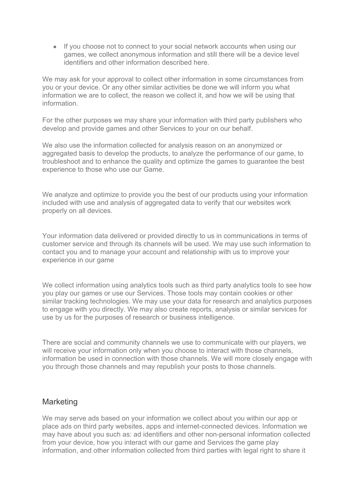• If you choose not to connect to your social network accounts when using our games, we collect anonymous information and still there will be a device level identifiers and other information described here.

We may ask for your approval to collect other information in some circumstances from you or your device. Or any other similar activities be done we will inform you what information we are to collect, the reason we collect it, and how we will be using that information.

For the other purposes we may share your information with third party publishers who develop and provide games and other Services to your on our behalf.

We also use the information collected for analysis reason on an anonymized or aggregated basis to develop the products, to analyze the performance of our game, to troubleshoot and to enhance the quality and optimize the games to guarantee the best experience to those who use our Game.

We analyze and optimize to provide you the best of our products using your information included with use and analysis of aggregated data to verify that our websites work properly on all devices.

Your information data delivered or provided directly to us in communications in terms of customer service and through its channels will be used. We may use such information to contact you and to manage your account and relationship with us to improve your experience in our game

We collect information using analytics tools such as third party analytics tools to see how you play our games or use our Services. Those tools may contain cookies or other similar tracking technologies. We may use your data for research and analytics purposes to engage with you directly. We may also create reports, analysis or similar services for use by us for the purposes of research or business intelligence.

There are social and community channels we use to communicate with our players, we will receive your information only when you choose to interact with those channels, information be used in connection with those channels. We will more closely engage with you through those channels and may republish your posts to those channels.

#### **Marketing**

We may serve ads based on your information we collect about you within our app or place ads on third party websites, apps and internet-connected devices. Information we may have about you such as: ad identifiers and other non-personal information collected from your device, how you interact with our game and Services the game play information, and other information collected from third parties with legal right to share it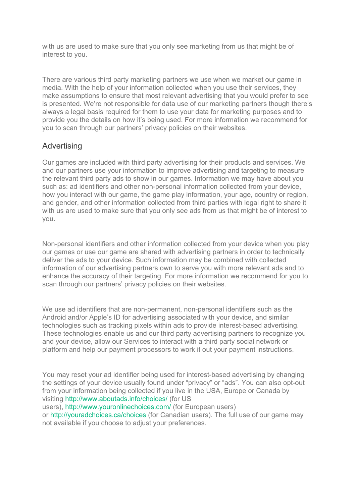with us are used to make sure that you only see marketing from us that might be of interest to you.

There are various third party marketing partners we use when we market our game in media. With the help of your information collected when you use their services, they make assumptions to ensure that most relevant advertising that you would prefer to see is presented. We're not responsible for data use of our marketing partners though there's always a legal basis required for them to use your data for marketing purposes and to provide you the details on how it's being used. For more information we recommend for you to scan through our partners' privacy policies on their websites.

# Advertising

Our games are included with third party advertising for their products and services. We and our partners use your information to improve advertising and targeting to measure the relevant third party ads to show in our games. Information we may have about you such as: ad identifiers and other non-personal information collected from your device, how you interact with our game, the game play information, your age, country or region, and gender, and other information collected from third parties with legal right to share it with us are used to make sure that you only see ads from us that might be of interest to you.

Non-personal identifiers and other information collected from your device when you play our games or use our game are shared with advertising partners in order to technically deliver the ads to your device. Such information may be combined with collected information of our advertising partners own to serve you with more relevant ads and to enhance the accuracy of their targeting. For more information we recommend for you to scan through our partners' privacy policies on their websites.

We use ad identifiers that are non-permanent, non-personal identifiers such as the Android and/or Apple's ID for advertising associated with your device, and similar technologies such as tracking pixels within ads to provide interest-based advertising. These technologies enable us and our third party advertising partners to recognize you and your device, allow our Services to interact with a third party social network or platform and help our payment processors to work it out your payment instructions.

You may reset your ad identifier being used for interest-based advertising by changing the settings of your device usually found under "privacy" or "ads". You can also opt-out from your information being collected if you live in the USA, Europe or Canada by visiting <http://www.aboutads.info/choices/> (for US users), <http://www.youronlinechoices.com/> (for European users) or <http://youradchoices.ca/choices> (for Canadian users). The full use of our game may not available if you choose to adjust your preferences.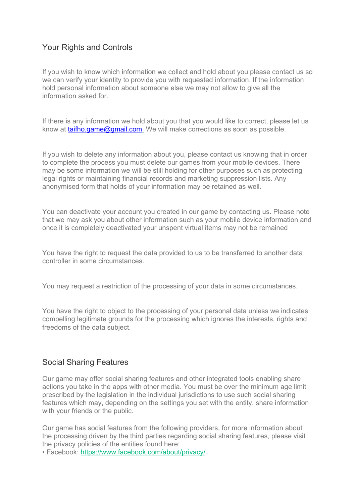## Your Rights and Controls

If you wish to know which information we collect and hold about you please contact us so we can verify your identity to provide you with requested information. If the information hold personal information about someone else we may not allow to give all the information asked for.

If there is any information we hold about you that you would like to correct, please let us know at [taifho.game@gmail.com](mailto:taifho.game@gmail.com) We will make corrections as soon as possible.

If you wish to delete any information about you, please contact us knowing that in order to complete the process you must delete our games from your mobile devices. There may be some information we will be still holding for other purposes such as protecting legal rights or maintaining financial records and marketing suppression lists. Any anonymised form that holds of your information may be retained as well.

You can deactivate your account you created in our game by contacting us. Please note that we may ask you about other information such as your mobile device information and once it is completely deactivated your unspent virtual items may not be remained

You have the right to request the data provided to us to be transferred to another data controller in some circumstances.

You may request a restriction of the processing of your data in some circumstances.

You have the right to object to the processing of your personal data unless we indicates compelling legitimate grounds for the processing which ignores the interests, rights and freedoms of the data subject.

#### Social Sharing Features

Our game may offer social sharing features and other integrated tools enabling share actions you take in the apps with other media. You must be over the minimum age limit prescribed by the legislation in the individual jurisdictions to use such social sharing features which may, depending on the settings you set with the entity, share information with your friends or the public.

Our game has social features from the following providers, for more information about the processing driven by the third parties regarding social sharing features, please visit the privacy policies of the entities found here:

• Facebook: <https://www.facebook.com/about/privacy/>